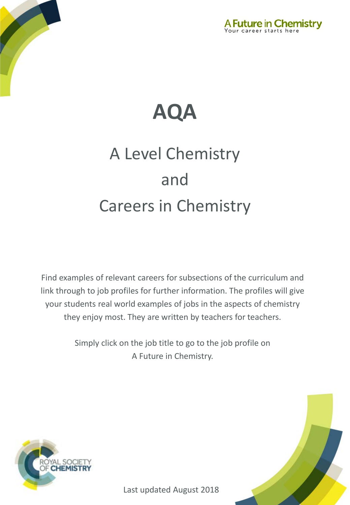



# A Level Chemistry and Careers in Chemistry

Find examples of relevant careers for subsections of the curriculum and link through to job profiles for further information. The profiles will give your students real world examples of jobs in the aspects of chemistry they enjoy most. They are written by teachers for teachers.

> Simply click on the job title to go to the job profile on A Future in Chemistry.



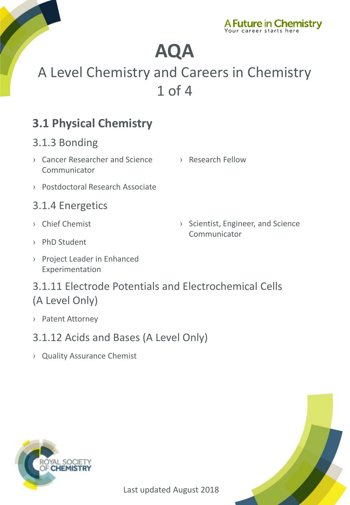

## A Level Chemistry and Careers in Chemistry 1 of 4

### **3.1 Physical Chemistry**

#### 3.1.3 Bonding

- › [Cancer Researcher and Science](http://www.rsc.org/careers/future/cancer-researcher-and-science-communicator)  **Communicator**
- › [Research Fellow](http://www.rsc.org/careers/future/research-fellow)
- › [Postdoctoral Research Associate](http://www.rsc.org/careers/future/postdoctoral-research-associate)

#### 3.1.4 Energetics

› [Chief Chemist](http://www.rsc.org/careers/future/chief-chemist)

› [Scientist, Engineer, and Science](http://www.rsc.org/careers/future/scientist-engineer-and-science-communicator)  Communicator

- › [PhD Student](http://www.rsc.org/careers/future/phd-student)
- › [Project Leader in Enhanced](http://www.rsc.org/careers/future/project-leader-enhanced-experimentation)  Experimentation

#### 3.1.11 Electrode Potentials and Electrochemical Cells (A Level Only)

- › [Patent Attorney](http://www.rsc.org/careers/future/patent-attorney)
- 3.1.12 Acids and Bases (A Level Only)
- › [Quality Assurance Chemist](http://www.rsc.org/careers/future/quality-assurance-chemist)



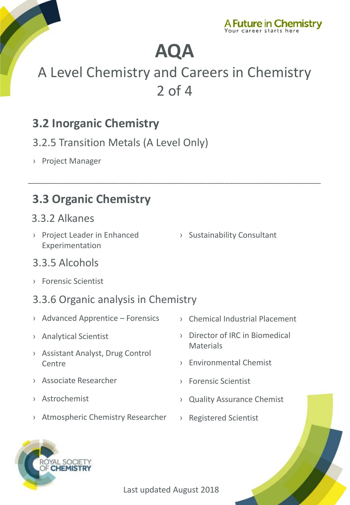

## A Level Chemistry and Careers in Chemistry 2 of 4

\_\_\_\_\_\_\_\_\_\_\_\_\_\_\_\_\_\_\_\_\_\_\_\_\_\_\_\_\_\_\_\_\_\_\_\_\_\_\_\_\_\_\_\_\_\_\_\_\_\_\_\_\_\_\_\_\_\_\_\_\_\_\_\_\_\_\_

### **3.2 Inorganic Chemistry**

- 3.2.5 Transition Metals (A Level Only)
- › [Project Manager](http://www.rsc.org/careers/future/project-manager)

### **3.3 Organic Chemistry**

#### 3.3.2 Alkanes

- › [Project Leader in Enhanced](http://www.rsc.org/careers/future/project-leader-enhanced-experimentation)  Experimentation
- › [Sustainability Consultant](http://www.rsc.org/careers/future/sustainability-consultant)

#### 3.3.5 Alcohols

› [Forensic Scientist](http://www.rsc.org/careers/future/forensic-scientist)

#### 3.3.6 Organic analysis in Chemistry

- › [Advanced Apprentice –](http://www.rsc.org/careers/future/advanced-apprentice-forensics) Forensics
- › [Analytical Scientist](http://www.rsc.org/careers/future/analytical-scientist)
- › [Assistant Analyst, Drug Control](http://www.rsc.org/careers/future/assistant-analyst-drug-control-centre)  **Centre**
- › [Associate Researcher](http://www.rsc.org/careers/future/associate-researcher)
- › [Astrochemist](http://www.rsc.org/careers/future/astrochemist)
- › [Atmospheric Chemistry Researcher](http://www.rsc.org/careers/future/atmospheric-chemistry-researcher)
- › [Chemical Industrial Placement](http://www.rsc.org/careers/future/chemical-industrial-placement)
- › [Director of IRC in Biomedical](http://www.rsc.org/careers/future/director-irc-biomedical-materials)  **Materials**
- › [Environmental Chemist](http://www.rsc.org/careers/future/environmental-chemist)
- › [Forensic Scientist](http://www.rsc.org/careers/future/forensic-scientist)
- › [Quality Assurance Chemist](http://www.rsc.org/careers/future/quality-assurance-chemist)
- › [Registered Scientist](http://www.rsc.org/careers/future/registered-scientist)

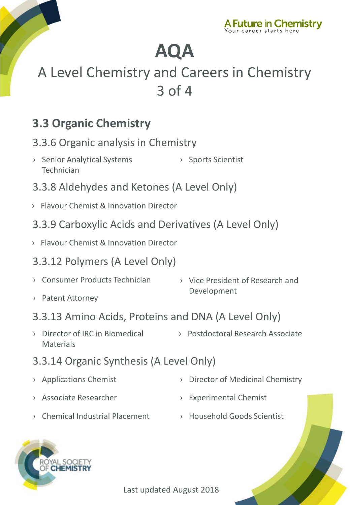

## A Level Chemistry and Careers in Chemistry 3 of 4

### **3.3 Organic Chemistry**

#### 3.3.6 Organic analysis in Chemistry

- › [Senior Analytical Systems](http://www.rsc.org/careers/future/senior-analytical-systems-technician)  Technician › [Sports Scientist](http://www.rsc.org/careers/future/senior-sports-scientist)
- 3.3.8 Aldehydes and Ketones (A Level Only)
- › [Flavour Chemist & Innovation Director](http://www.rsc.org/careers/future/flavourist-innovation-director)
- 3.3.9 Carboxylic Acids and Derivatives (A Level Only)
- › [Flavour Chemist & Innovation Director](http://www.rsc.org/careers/future/flavourist-innovation-director)

#### 3.3.12 Polymers (A Level Only)

- › [Consumer Products Technician](http://www.rsc.org/careers/future/consumer-products-technician)
- › [Patent Attorney](http://www.rsc.org/careers/future/patent-attorney)
- › [Vice President of Research and](http://www.rsc.org/careers/future/vice-president-research-and-development)  Development
- 3.3.13 Amino Acids, Proteins and DNA (A Level Only)
- › [Postdoctoral Research Associate](http://www.rsc.org/careers/future/postdoctoral-research-associate) › [Director of IRC in Biomedical](http://www.rsc.org/careers/future/director-irc-biomedical-materials)  **Materials**
- 3.3.14 Organic Synthesis (A Level Only)
- › [Applications Chemist](http://www.rsc.org/careers/future/applications-chemist) › [Director of Medicinal Chemistry](http://www.rsc.org/careers/future/director-medicinal-chemistry)
- › [Associate Researcher](http://www.rsc.org/careers/future/associate-researcher) › [Experimental Chemist](http://www.rsc.org/careers/future/experimental-chemist)
- 
- › [Chemical Industrial Placement](http://www.rsc.org/careers/future/chemical-industrial-placement) › [Household Goods Scientist](http://www.rsc.org/careers/future/household-goods-senior-scientist)
- 



Last updated August 2018